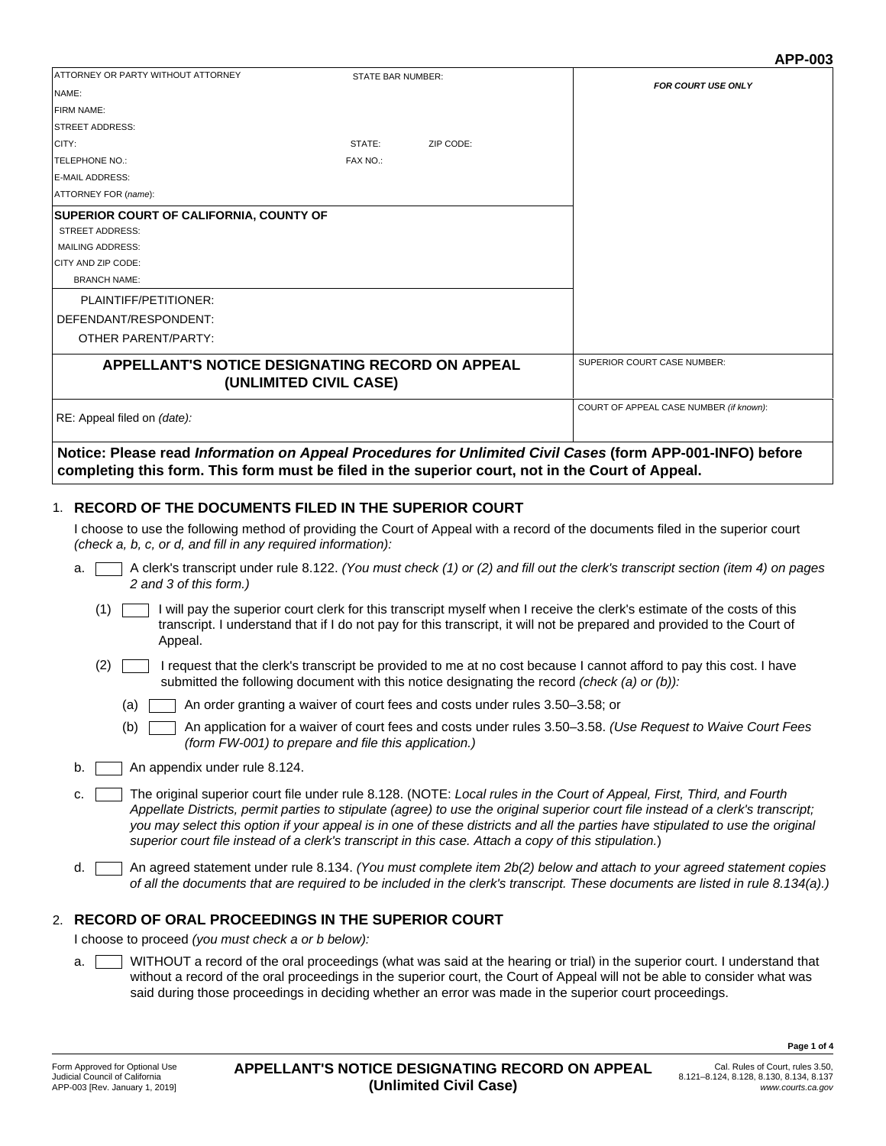|                                                                                                           |                          |           | AFF-VUJ                                 |
|-----------------------------------------------------------------------------------------------------------|--------------------------|-----------|-----------------------------------------|
| ATTORNEY OR PARTY WITHOUT ATTORNEY                                                                        | <b>STATE BAR NUMBER:</b> |           |                                         |
| NAME:                                                                                                     |                          |           | <b>FOR COURT USE ONLY</b>               |
| <b>FIRM NAME:</b>                                                                                         |                          |           |                                         |
| <b>ISTREET ADDRESS:</b>                                                                                   |                          |           |                                         |
| CITY:                                                                                                     | STATE:                   | ZIP CODE: |                                         |
| <b>TELEPHONE NO.:</b>                                                                                     | FAX NO.:                 |           |                                         |
| E-MAIL ADDRESS:                                                                                           |                          |           |                                         |
| ATTORNEY FOR (name):                                                                                      |                          |           |                                         |
| <b>SUPERIOR COURT OF CALIFORNIA, COUNTY OF</b>                                                            |                          |           |                                         |
| <b>STREET ADDRESS:</b>                                                                                    |                          |           |                                         |
| <b>MAILING ADDRESS:</b>                                                                                   |                          |           |                                         |
| CITY AND ZIP CODE:                                                                                        |                          |           |                                         |
| <b>BRANCH NAME:</b>                                                                                       |                          |           |                                         |
| PLAINTIFF/PETITIONER:                                                                                     |                          |           |                                         |
| DEFENDANT/RESPONDENT:                                                                                     |                          |           |                                         |
| OTHER PARENT/PARTY:                                                                                       |                          |           |                                         |
| <b>APPELLANT'S NOTICE DESIGNATING RECORD ON APPEAL</b><br>(UNLIMITED CIVIL CASE)                          |                          |           | <b>SUPERIOR COURT CASE NUMBER:</b>      |
| RE: Appeal filed on (date):                                                                               |                          |           | COURT OF APPEAL CASE NUMBER (if known): |
| Notice: Please read Information on Appeal Procedures for Unlimited Civil Cases (form APP-001-INFO) before |                          |           |                                         |

**completing this form. This form must be filed in the superior court, not in the Court of Appeal.**

# **RECORD OF THE DOCUMENTS FILED IN THE SUPERIOR COURT** 1.

I choose to use the following method of providing the Court of Appeal with a record of the documents filed in the superior court *(check a, b, c, or d, and fill in any required information):*

- A clerk's transcript under rule 8.122. *(You must check (1) or (2) and fill out the clerk's transcript section (item 4) on pages 2 and 3 of this form.)* a.
	- I will pay the superior court clerk for this transcript myself when I receive the clerk's estimate of the costs of this transcript. I understand that if I do not pay for this transcript, it will not be prepared and provided to the Court of Appeal.  $(1)$   $\lceil$
	- I request that the clerk's transcript be provided to me at no cost because I cannot afford to pay this cost. I have (2) submitted the following document with this notice designating the record *(check (a) or (b)):*
		- An order granting a waiver of court fees and costs under rules 3.50–3.58; or  $(a)$
		- An application for a waiver of court fees and costs under rules 3.50–3.58. *(Use Request to Waive Court Fees (form FW-001) to prepare and file this application.)*  $(b)$
- b. An appendix under rule 8.124.
- The original superior court file under rule 8.128. (NOTE: *Local rules in the Court of Appeal, First, Third, and Fourth Appellate Districts, permit parties to stipulate (agree) to use the original superior court file instead of a clerk's transcript; you may select this option if your appeal is in one of these districts and all the parties have stipulated to use the original superior court file instead of a clerk's transcript in this case. Attach a copy of this stipulation.*) c. 「
- An agreed statement under rule 8.134. *(You must complete item 2b(2) below and attach to your agreed statement copies of all the documents that are required to be included in the clerk's transcript. These documents are listed in rule 8.134(a).)* d. T

## **RECORD OF ORAL PROCEEDINGS IN THE SUPERIOR COURT** 2.

I choose to proceed *(you must check a or b below):*

WITHOUT a record of the oral proceedings (what was said at the hearing or trial) in the superior court. I understand that without a record of the oral proceedings in the superior court, the Court of Appeal will not be able to consider what was said during those proceedings in deciding whether an error was made in the superior court proceedings. a.

**Page 1 of 4**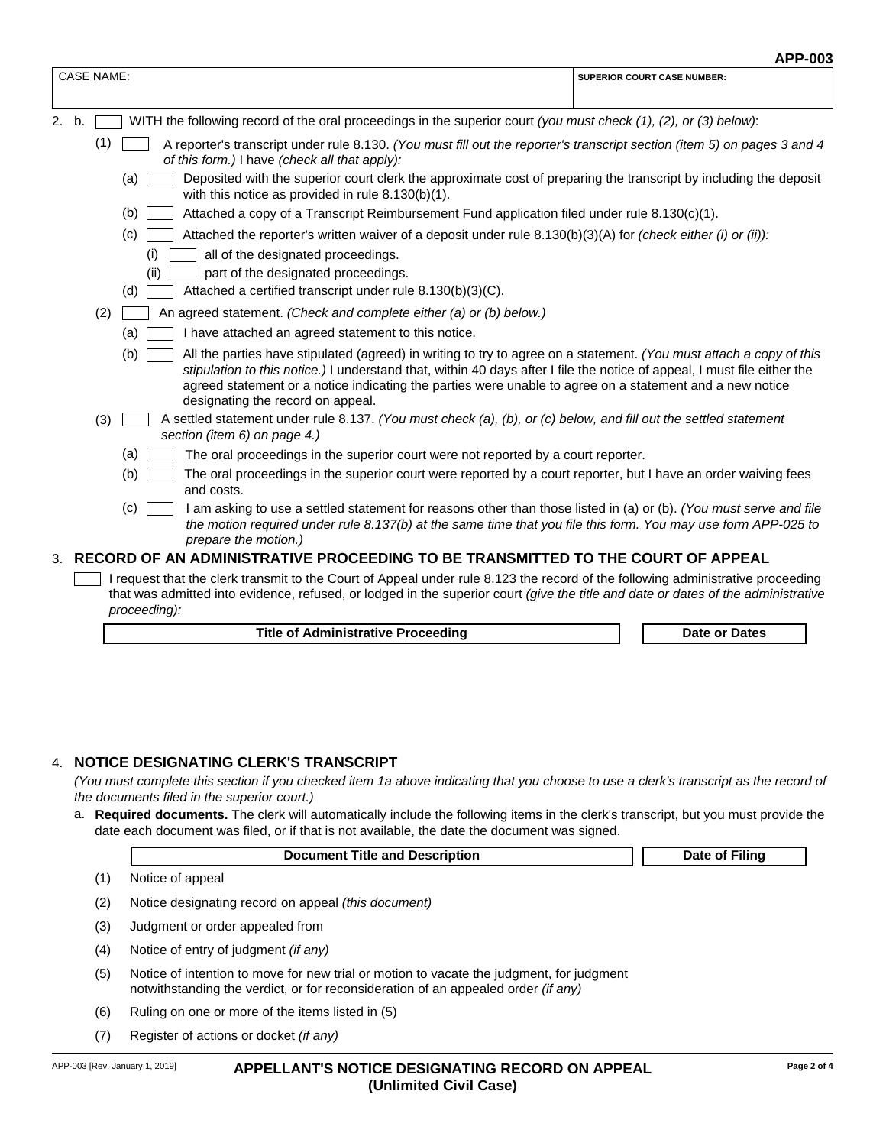|                                                                                                                                                                                                                                                                                                                                                                                                         | APP-003                            |
|---------------------------------------------------------------------------------------------------------------------------------------------------------------------------------------------------------------------------------------------------------------------------------------------------------------------------------------------------------------------------------------------------------|------------------------------------|
| <b>CASE NAME:</b>                                                                                                                                                                                                                                                                                                                                                                                       | <b>SUPERIOR COURT CASE NUMBER:</b> |
| 2. b.<br>WITH the following record of the oral proceedings in the superior court (you must check $(1)$ , $(2)$ , or $(3)$ below):                                                                                                                                                                                                                                                                       |                                    |
| (1)<br>A reporter's transcript under rule 8.130. (You must fill out the reporter's transcript section (item 5) on pages 3 and 4<br>of this form.) I have (check all that apply):                                                                                                                                                                                                                        |                                    |
| Deposited with the superior court clerk the approximate cost of preparing the transcript by including the deposit<br>(a)<br>with this notice as provided in rule $8.130(b)(1)$ .                                                                                                                                                                                                                        |                                    |
| (b)<br>Attached a copy of a Transcript Reimbursement Fund application filed under rule 8.130(c)(1).                                                                                                                                                                                                                                                                                                     |                                    |
| (c)<br>Attached the reporter's written waiver of a deposit under rule $8.130(b)(3)(A)$ for (check either (i) or (ii)):                                                                                                                                                                                                                                                                                  |                                    |
| (i)<br>all of the designated proceedings.<br>part of the designated proceedings.<br>(ii)                                                                                                                                                                                                                                                                                                                |                                    |
| Attached a certified transcript under rule 8.130(b)(3)(C).<br>(d)                                                                                                                                                                                                                                                                                                                                       |                                    |
| (2)<br>An agreed statement. (Check and complete either (a) or (b) below.)                                                                                                                                                                                                                                                                                                                               |                                    |
| I have attached an agreed statement to this notice.<br>(a)                                                                                                                                                                                                                                                                                                                                              |                                    |
| (b)<br>All the parties have stipulated (agreed) in writing to try to agree on a statement. (You must attach a copy of this<br>stipulation to this notice.) I understand that, within 40 days after I file the notice of appeal, I must file either the<br>agreed statement or a notice indicating the parties were unable to agree on a statement and a new notice<br>designating the record on appeal. |                                    |
| A settled statement under rule 8.137. (You must check (a), (b), or (c) below, and fill out the settled statement<br>(3)<br>section (item 6) on page 4.)                                                                                                                                                                                                                                                 |                                    |
| (a)<br>The oral proceedings in the superior court were not reported by a court reporter.                                                                                                                                                                                                                                                                                                                |                                    |
| (b)<br>The oral proceedings in the superior court were reported by a court reporter, but I have an order waiving fees<br>and costs.                                                                                                                                                                                                                                                                     |                                    |
| (c)<br>I am asking to use a settled statement for reasons other than those listed in (a) or (b). (You must serve and file<br>the motion required under rule 8.137(b) at the same time that you file this form. You may use form APP-025 to<br>prepare the motion.)                                                                                                                                      |                                    |
| 3. RECORD OF AN ADMINISTRATIVE PROCEEDING TO BE TRANSMITTED TO THE COURT OF APPEAL                                                                                                                                                                                                                                                                                                                      |                                    |
| I request that the clerk transmit to the Court of Appeal under rule 8.123 the record of the following administrative proceeding<br>that was admitted into evidence, refused, or lodged in the superior court (give the title and date or dates of the administrative<br>proceeding):                                                                                                                    |                                    |

**Title of Administrative Proceeding Date of Dates Date or Dates** 

### 4. **NOTICE DESIGNATING CLERK'S TRANSCRIPT**

*(You must complete this section if you checked item 1a above indicating that you choose to use a clerk's transcript as the record of the documents filed in the superior court.)*

a. Required documents. The clerk will automatically include the following items in the clerk's transcript, but you must provide the date each document was filed, or if that is not available, the date the document was signed.

|     | <b>Document Title and Description</b>                                                                                                                                                | Date of Filing |  |
|-----|--------------------------------------------------------------------------------------------------------------------------------------------------------------------------------------|----------------|--|
| (1) | Notice of appeal                                                                                                                                                                     |                |  |
| (2) | Notice designating record on appeal (this document)                                                                                                                                  |                |  |
| (3) | Judgment or order appealed from                                                                                                                                                      |                |  |
| (4) | Notice of entry of judgment <i>(if any)</i>                                                                                                                                          |                |  |
| (5) | Notice of intention to move for new trial or motion to vacate the judgment, for judgment<br>notwithstanding the verdict, or for reconsideration of an appealed order <i>(if any)</i> |                |  |

- Ruling on one or more of the items listed in (5) (6)
- Register of actions or docket *(if any)* (7)

'n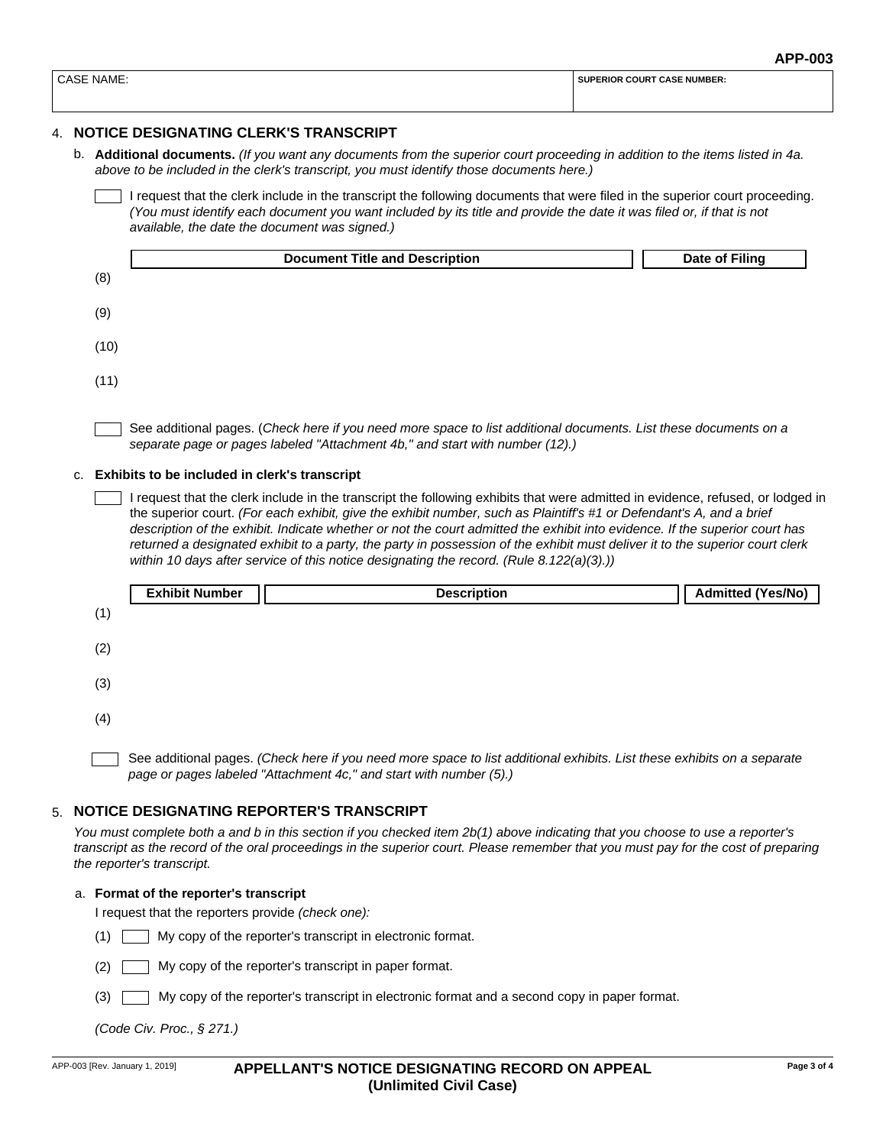| $\sim$<br>NAME.<br>$\mathbf{A}$ | COUR <sup>-</sup><br>T NUMBER:<br>SU<br>ERIOR.<br>. . A.S |  |  |
|---------------------------------|-----------------------------------------------------------|--|--|
|                                 |                                                           |  |  |

# 4. **NOTICE DESIGNATING CLERK'S TRANSCRIPT**

b. **Additional documents.** *(If you want any documents from the superior court proceeding in addition to the items listed in 4a. above to be included in the clerk's transcript, you must identify those documents here.)*

I request that the clerk include in the transcript the following documents that were filed in the superior court proceeding. *(You must identify each document you want included by its title and provide the date it was filed or, if that is not available, the date the document was signed.)*

|      | <b>Document Title and Description</b> | Date of Filing |
|------|---------------------------------------|----------------|
| (8)  |                                       |                |
| (9)  |                                       |                |
| (10) |                                       |                |
| (11) |                                       |                |
|      |                                       |                |

See additional pages. (*Check here if you need more space to list additional documents. List these documents on a separate page or pages labeled "Attachment 4b," and start with number (12).)*

c. **Exhibits to be included in clerk's transcript**

I request that the clerk include in the transcript the following exhibits that were admitted in evidence, refused, or lodged in the superior court. *(For each exhibit, give the exhibit number, such as Plaintiff's #1 or Defendant's A, and a brief description of the exhibit. Indicate whether or not the court admitted the exhibit into evidence. If the superior court has returned a designated exhibit to a party, the party in possession of the exhibit must deliver it to the superior court clerk within 10 days after service of this notice designating the record. (Rule 8.122(a)(3).))*



# **NOTICE DESIGNATING REPORTER'S TRANSCRIPT**  5.

*You must complete both a and b in this section if you checked item 2b(1) above indicating that you choose to use a reporter's transcript as the record of the oral proceedings in the superior court. Please remember that you must pay for the cost of preparing the reporter's transcript.*

### a. **Format of the reporter's transcript**

I request that the reporters provide *(check one):* 

- My copy of the reporter's transcript in electronic format. (1)
- My copy of the reporter's transcript in paper format. (2)
- My copy of the reporter's transcript in electronic format and a second copy in paper format.  $(3)$

*(Code Civ. Proc., § 271.)*